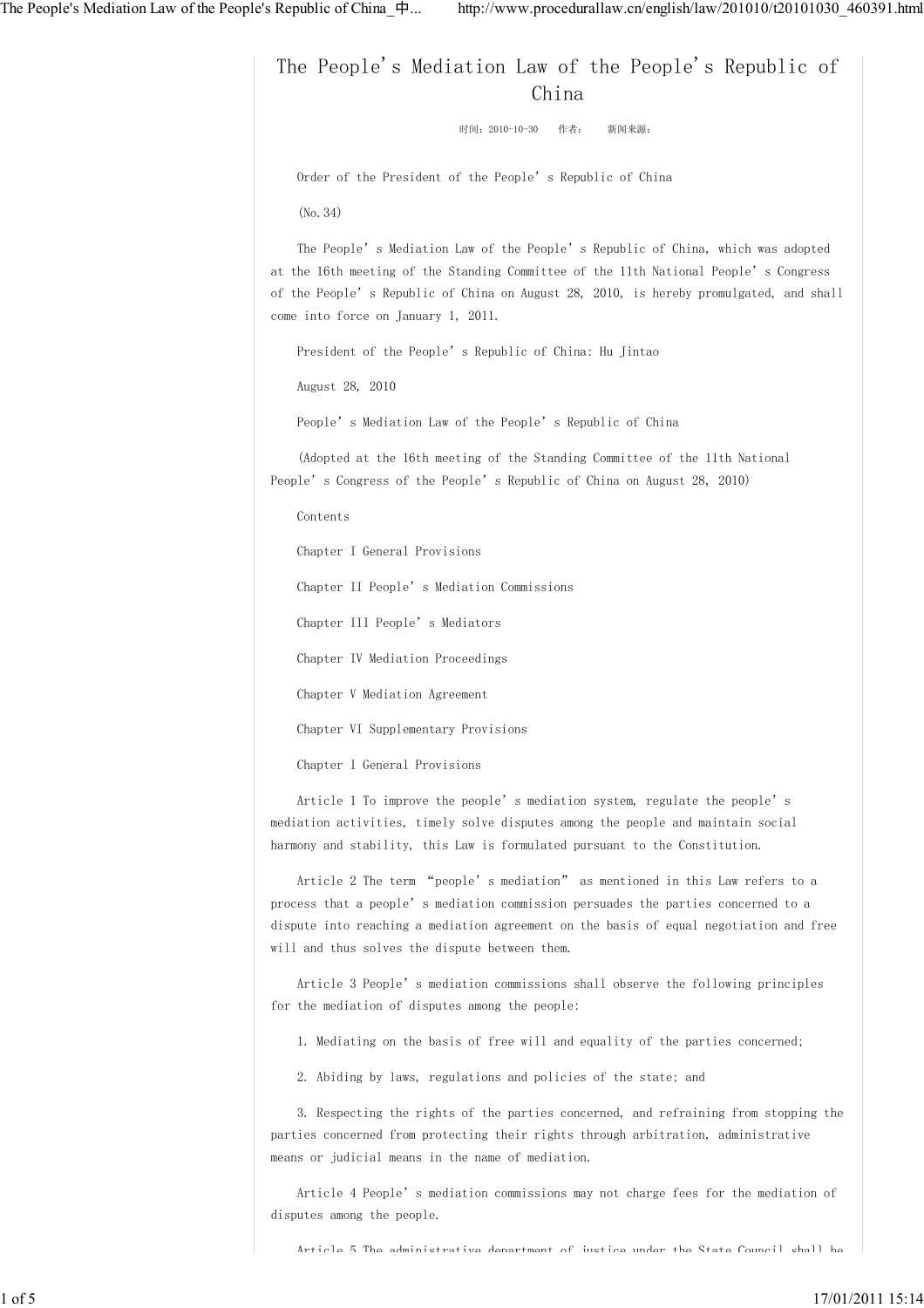The People's Mediation Law of the People's Republic of China 时间:2010-10-30 作者: 新闻来源: Order of the President of the People's Republic of China (No.34) The People's Mediation Law of the People's Republic of China, which was adopted at the 16th meeting of the Standing Committee of the 11th National People's Congress of the People's Republic of China on August 28, 2010, is hereby promulgated, and shall come into force on January 1, 2011. President of the People's Republic of China: Hu Jintao August 28, 2010 People's Mediation Law of the People's Republic of China (Adopted at the 16th meeting of the Standing Committee of the 11th National People's Congress of the People's Republic of China on August 28, 2010) Contents Chapter I General Provisions Chapter II People's Mediation Commissions Chapter III People's Mediators Chapter IV Mediation Proceedings Chapter V Mediation Agreement Chapter VI Supplementary Provisions Chapter I General Provisions Article 1 To improve the people's mediation system, regulate the people's mediation activities, timely solve disputes among the people and maintain social harmony and stability, this Law is formulated pursuant to the Constitution. Article 2 The term "people's mediation" as mentioned in this Law refers to a process that a people's mediation commission persuades the parties concerned to a dispute into reaching a mediation agreement on the basis of equal negotiation and free will and thus solves the dispute between them. Article 3 People's mediation commissions shall observe the following principles for the mediation of disputes among the people: 1. Mediating on the basis of free will and equality of the parties concerned;

2. Abiding by laws, regulations and policies of the state; and

 3. Respecting the rights of the parties concerned, and refraining from stopping the parties concerned from protecting their rights through arbitration, administrative means or judicial means in the name of mediation.

 Article 4 People's mediation commissions may not charge fees for the mediation of disputes among the people.

Article 5 The administrative department of justice under the State Council shall be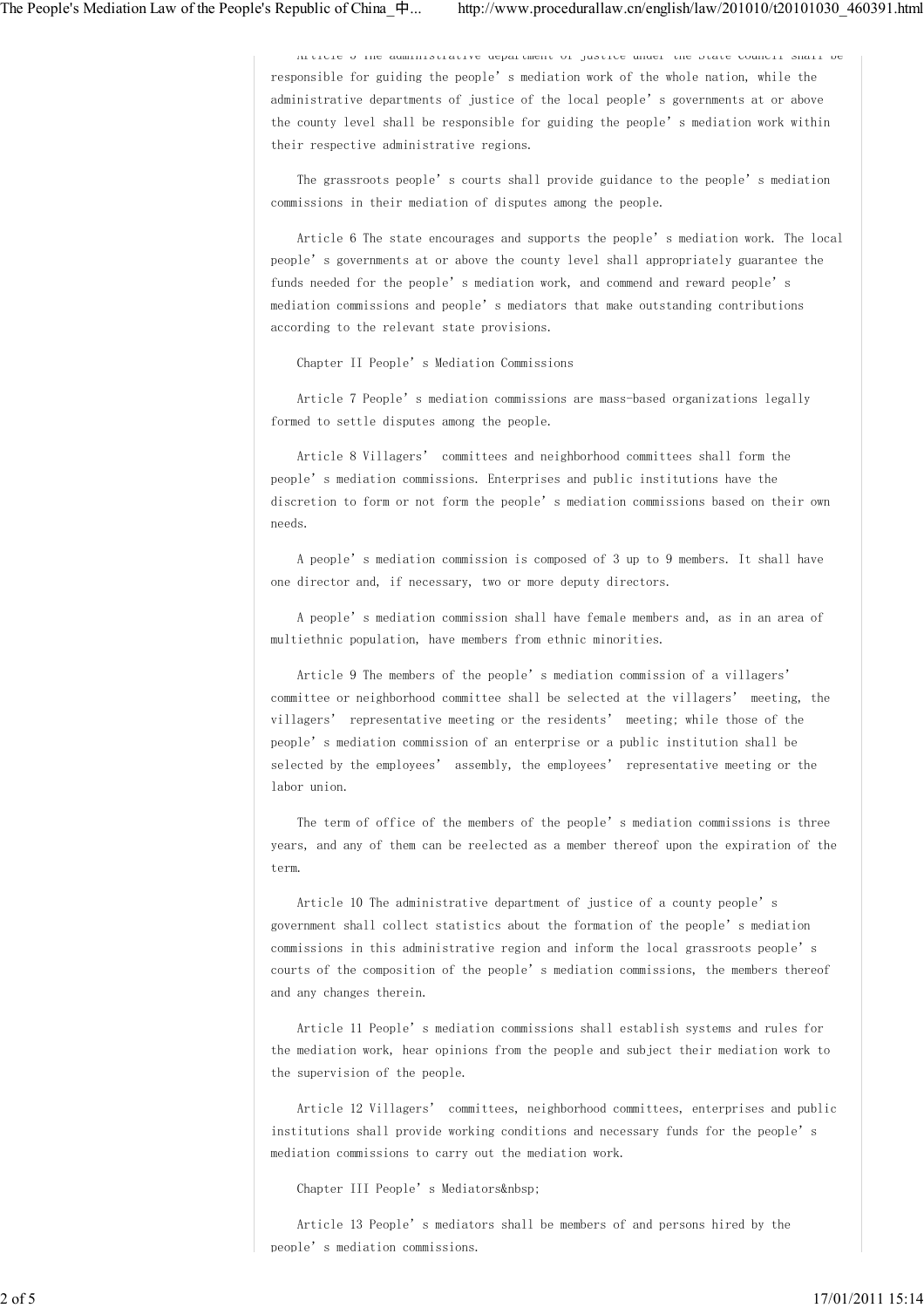Article 5 The administrative department of justice under the State Council shall be responsible for guiding the people's mediation work of the whole nation, while the administrative departments of justice of the local people's governments at or above the county level shall be responsible for guiding the people's mediation work within their respective administrative regions.

 The grassroots people's courts shall provide guidance to the people's mediation commissions in their mediation of disputes among the people.

 Article 6 The state encourages and supports the people's mediation work. The local people's governments at or above the county level shall appropriately guarantee the funds needed for the people's mediation work, and commend and reward people's mediation commissions and people's mediators that make outstanding contributions according to the relevant state provisions.

Chapter II People's Mediation Commissions

 Article 7 People's mediation commissions are mass-based organizations legally formed to settle disputes among the people.

 Article 8 Villagers' committees and neighborhood committees shall form the people's mediation commissions. Enterprises and public institutions have the discretion to form or not form the people's mediation commissions based on their own needs.

 A people's mediation commission is composed of 3 up to 9 members. It shall have one director and, if necessary, two or more deputy directors.

 A people's mediation commission shall have female members and, as in an area of multiethnic population, have members from ethnic minorities.

 Article 9 The members of the people's mediation commission of a villagers' committee or neighborhood committee shall be selected at the villagers' meeting, the villagers' representative meeting or the residents' meeting; while those of the people's mediation commission of an enterprise or a public institution shall be selected by the employees' assembly, the employees' representative meeting or the labor union.

 The term of office of the members of the people's mediation commissions is three years, and any of them can be reelected as a member thereof upon the expiration of the term.

 Article 10 The administrative department of justice of a county people's government shall collect statistics about the formation of the people's mediation commissions in this administrative region and inform the local grassroots people's courts of the composition of the people's mediation commissions, the members thereof and any changes therein.

 Article 11 People's mediation commissions shall establish systems and rules for the mediation work, hear opinions from the people and subject their mediation work to the supervision of the people.

 Article 12 Villagers' committees, neighborhood committees, enterprises and public institutions shall provide working conditions and necessary funds for the people's mediation commissions to carry out the mediation work.

Chapter III People's Mediators

 Article 13 People's mediators shall be members of and persons hired by the people's mediation commissions.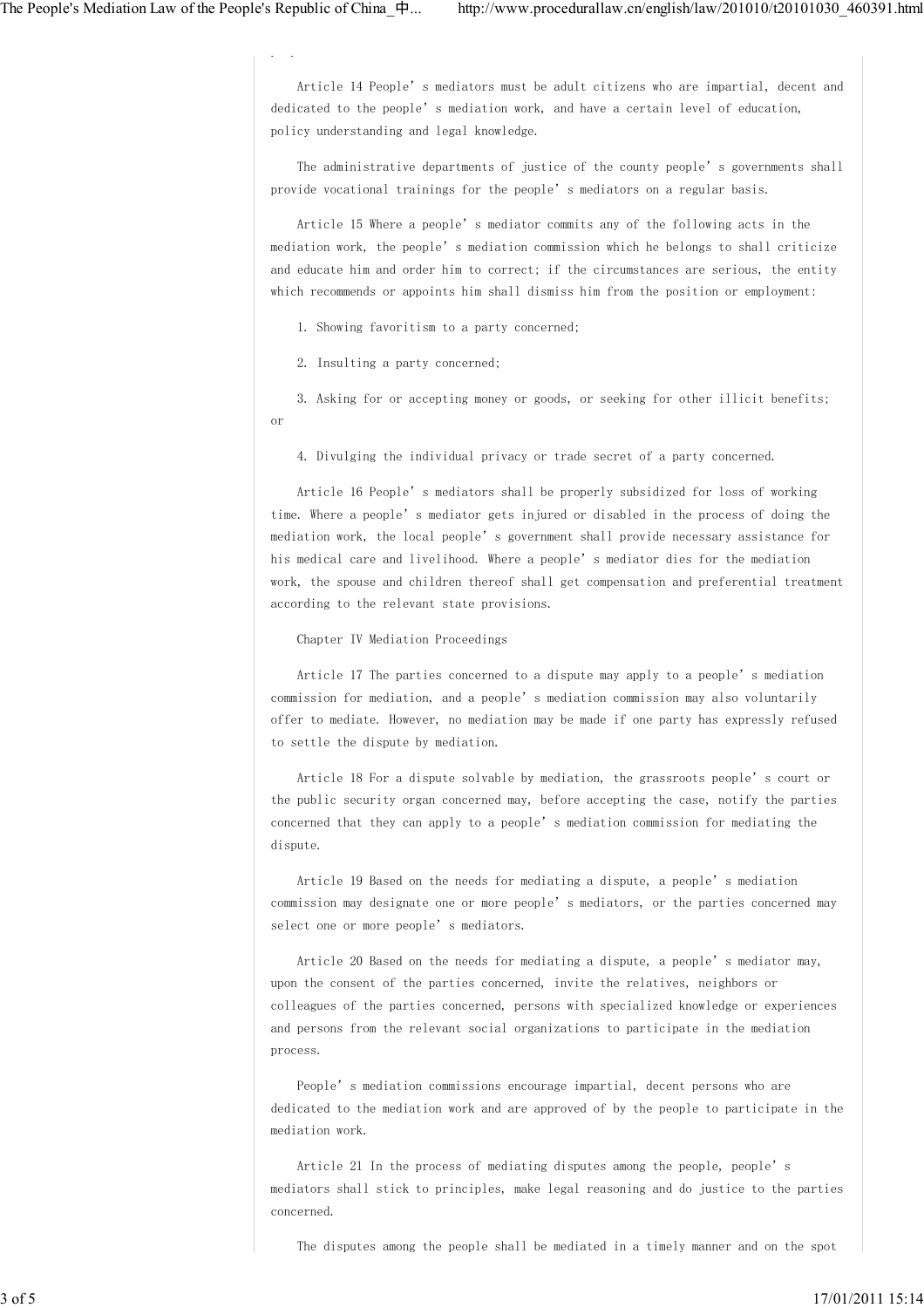Article 14 People's mediators must be adult citizens who are impartial, decent and dedicated to the people's mediation work, and have a certain level of education, policy understanding and legal knowledge.

 The administrative departments of justice of the county people's governments shall provide vocational trainings for the people's mediators on a regular basis.

 Article 15 Where a people's mediator commits any of the following acts in the mediation work, the people's mediation commission which he belongs to shall criticize and educate him and order him to correct; if the circumstances are serious, the entity which recommends or appoints him shall dismiss him from the position or employment:

1. Showing favoritism to a party concerned;

2. Insulting a party concerned;

people's mediation commissions.

 3. Asking for or accepting money or goods, or seeking for other illicit benefits; or

4. Divulging the individual privacy or trade secret of a party concerned.

 Article 16 People's mediators shall be properly subsidized for loss of working time. Where a people's mediator gets injured or disabled in the process of doing the mediation work, the local people's government shall provide necessary assistance for his medical care and livelihood. Where a people's mediator dies for the mediation work, the spouse and children thereof shall get compensation and preferential treatment according to the relevant state provisions.

Chapter IV Mediation Proceedings

 Article 17 The parties concerned to a dispute may apply to a people's mediation commission for mediation, and a people's mediation commission may also voluntarily offer to mediate. However, no mediation may be made if one party has expressly refused to settle the dispute by mediation.

 Article 18 For a dispute solvable by mediation, the grassroots people's court or the public security organ concerned may, before accepting the case, notify the parties concerned that they can apply to a people's mediation commission for mediating the dispute.

 Article 19 Based on the needs for mediating a dispute, a people's mediation commission may designate one or more people's mediators, or the parties concerned may select one or more people's mediators.

 Article 20 Based on the needs for mediating a dispute, a people's mediator may, upon the consent of the parties concerned, invite the relatives, neighbors or colleagues of the parties concerned, persons with specialized knowledge or experiences and persons from the relevant social organizations to participate in the mediation process.

 People's mediation commissions encourage impartial, decent persons who are dedicated to the mediation work and are approved of by the people to participate in the mediation work.

 Article 21 In the process of mediating disputes among the people, people's mediators shall stick to principles, make legal reasoning and do justice to the parties concerned.

The disputes among the people shall be mediated in a timely manner and on the spot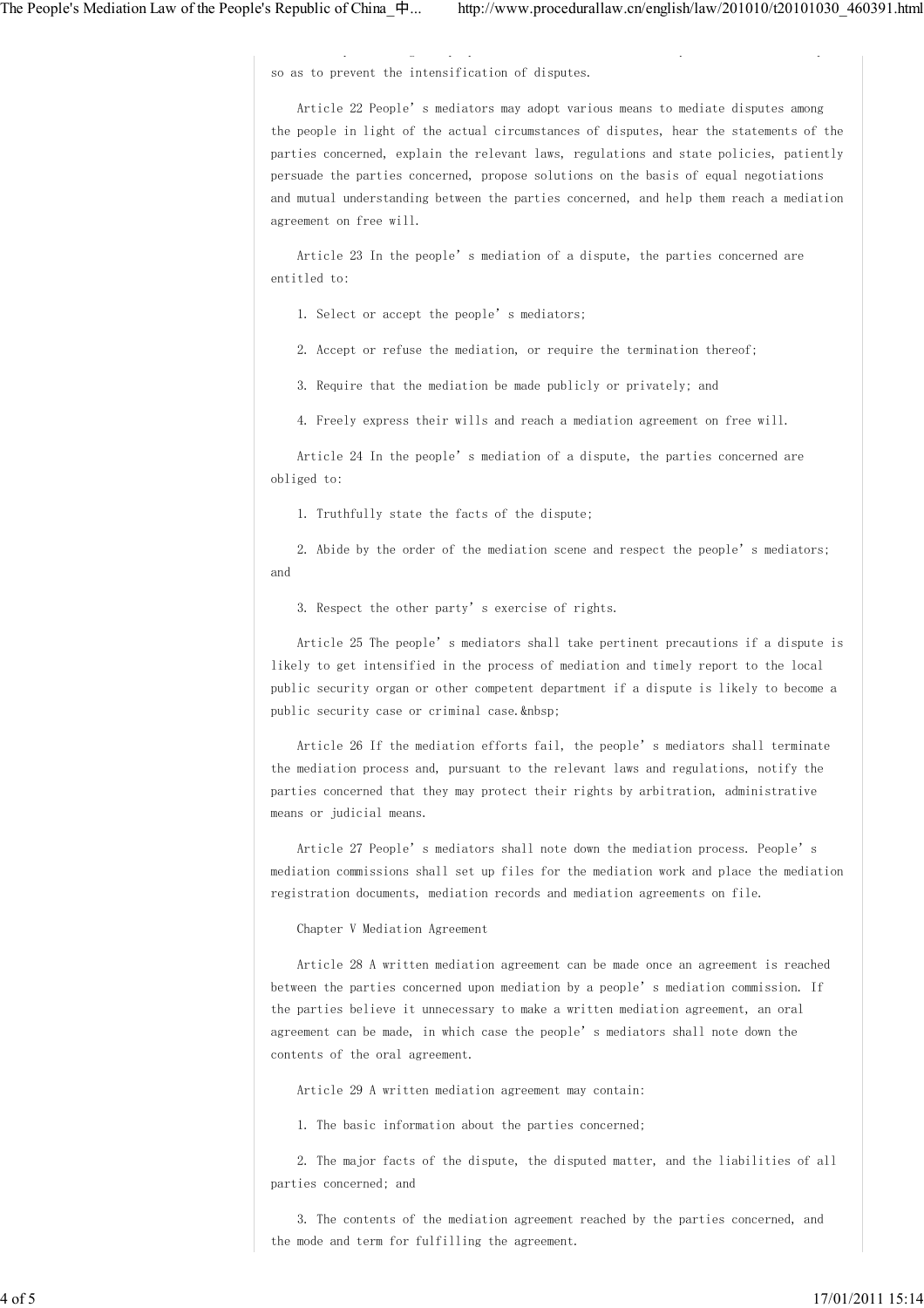so as to prevent the intensification of disputes.

 Article 22 People's mediators may adopt various means to mediate disputes among the people in light of the actual circumstances of disputes, hear the statements of the parties concerned, explain the relevant laws, regulations and state policies, patiently persuade the parties concerned, propose solutions on the basis of equal negotiations and mutual understanding between the parties concerned, and help them reach a mediation agreement on free will.

The disputes among the people shall be mediated in a timely manner and on the spot

 Article 23 In the people's mediation of a dispute, the parties concerned are entitled to:

1. Select or accept the people's mediators;

2. Accept or refuse the mediation, or require the termination thereof;

3. Require that the mediation be made publicly or privately; and

4. Freely express their wills and reach a mediation agreement on free will.

 Article 24 In the people's mediation of a dispute, the parties concerned are obliged to:

1. Truthfully state the facts of the dispute;

 2. Abide by the order of the mediation scene and respect the people's mediators; and

3. Respect the other party's exercise of rights.

 Article 25 The people's mediators shall take pertinent precautions if a dispute is likely to get intensified in the process of mediation and timely report to the local public security organ or other competent department if a dispute is likely to become a public security case or criminal case.

Article 26 If the mediation efforts fail, the people's mediators shall terminate the mediation process and, pursuant to the relevant laws and regulations, notify the parties concerned that they may protect their rights by arbitration, administrative means or judicial means.

 Article 27 People's mediators shall note down the mediation process. People's mediation commissions shall set up files for the mediation work and place the mediation registration documents, mediation records and mediation agreements on file.

Chapter V Mediation Agreement

 Article 28 A written mediation agreement can be made once an agreement is reached between the parties concerned upon mediation by a people's mediation commission. If the parties believe it unnecessary to make a written mediation agreement, an oral agreement can be made, in which case the people's mediators shall note down the contents of the oral agreement.

Article 29 A written mediation agreement may contain:

1. The basic information about the parties concerned;

 2. The major facts of the dispute, the disputed matter, and the liabilities of all parties concerned; and

 3. The contents of the mediation agreement reached by the parties concerned, and the mode and term for fulfilling the agreement.